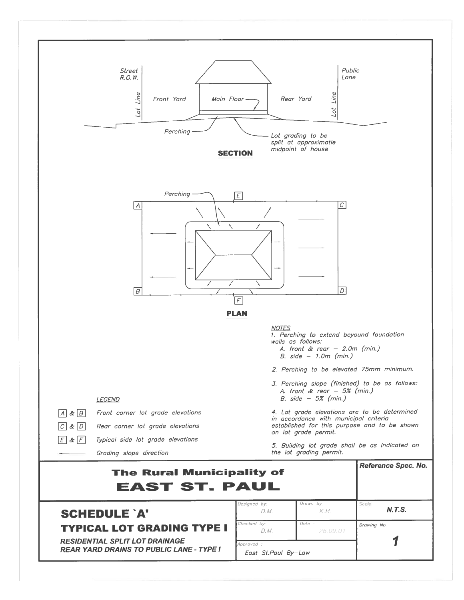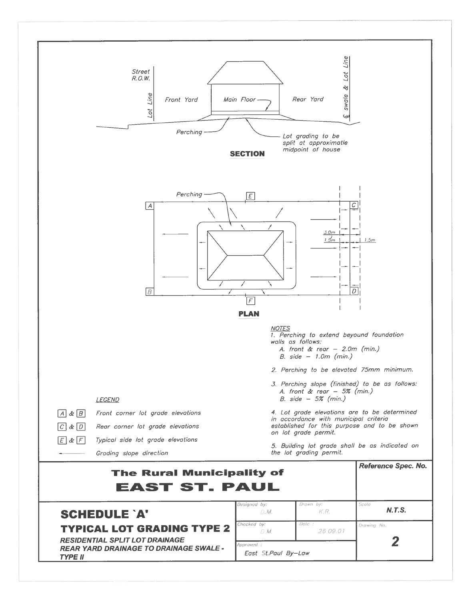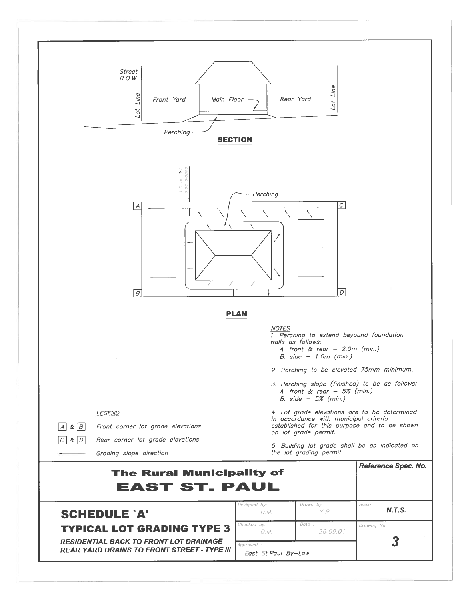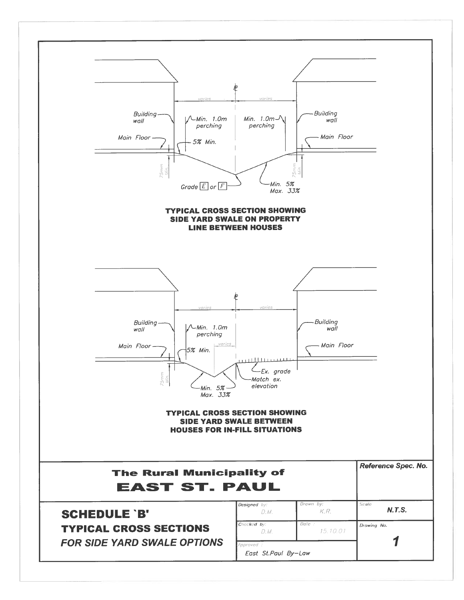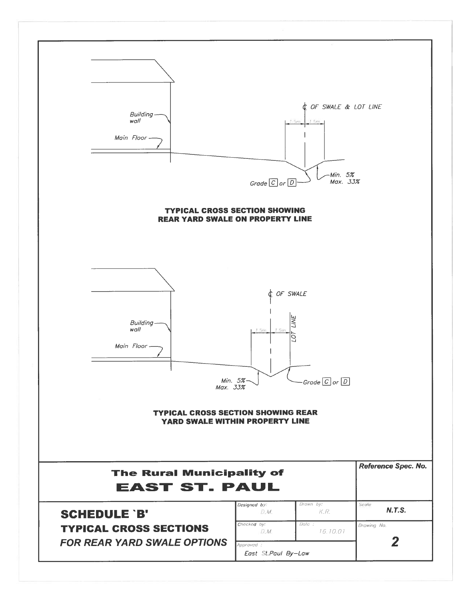